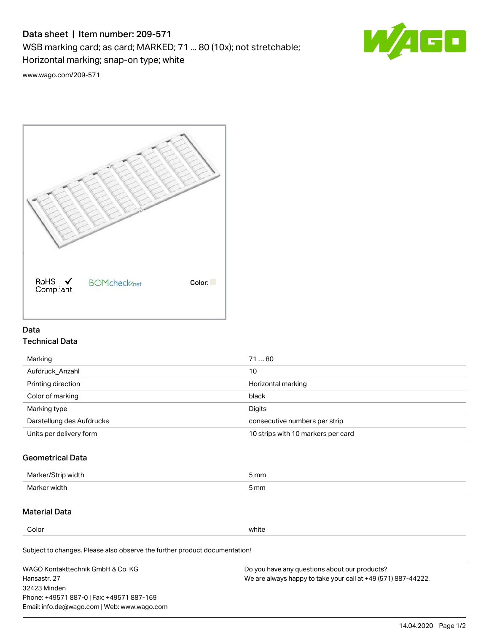# Data sheet | Item number: 209-571

WSB marking card; as card; MARKED; 71 ... 80 (10x); not stretchable;

Horizontal marking; snap-on type; white



[www.wago.com/209-571](http://www.wago.com/209-571)



### Data Technical Data

| Marking                   | 7180                               |
|---------------------------|------------------------------------|
| Aufdruck Anzahl           | 10                                 |
| Printing direction        | Horizontal marking                 |
| Color of marking          | black                              |
| Marking type              | Digits                             |
| Darstellung des Aufdrucks | consecutive numbers per strip      |
| Units per delivery form   | 10 strips with 10 markers per card |

## Geometrical Data

| width        | i mm |
|--------------|------|
| Marker/      | -    |
| Marker width | 5 mm |

## Material Data

Color white

Subject to changes. Please also observe the further product documentation!

WAGO Kontakttechnik GmbH & Co. KG Hansastr. 27 32423 Minden Phone: +49571 887-0 | Fax: +49571 887-169 Email: info.de@wago.com | Web: www.wago.com Do you have any questions about our products? We are always happy to take your call at +49 (571) 887-44222.